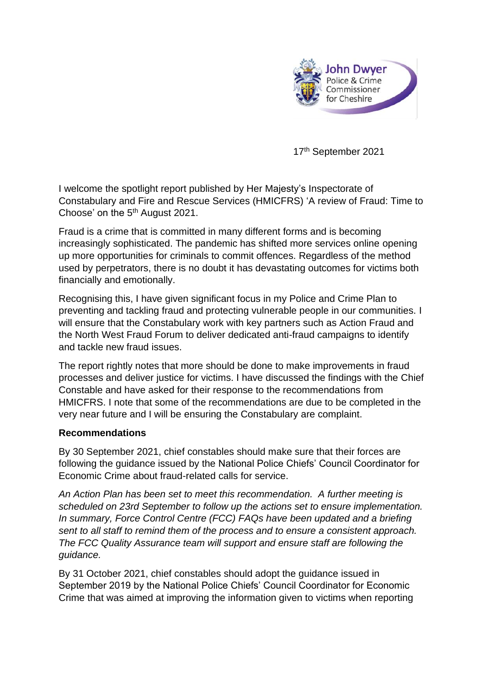

17th September 2021

I welcome the spotlight report published by Her Majesty's Inspectorate of Constabulary and Fire and Rescue Services (HMICFRS) 'A review of Fraud: Time to Choose' on the 5<sup>th</sup> August 2021.

Fraud is a crime that is committed in many different forms and is becoming increasingly sophisticated. The pandemic has shifted more services online opening up more opportunities for criminals to commit offences. Regardless of the method used by perpetrators, there is no doubt it has devastating outcomes for victims both financially and emotionally.

Recognising this, I have given significant focus in my Police and Crime Plan to preventing and tackling fraud and protecting vulnerable people in our communities. I will ensure that the Constabulary work with key partners such as Action Fraud and the North West Fraud Forum to deliver dedicated anti-fraud campaigns to identify and tackle new fraud issues.

The report rightly notes that more should be done to make improvements in fraud processes and deliver justice for victims. I have discussed the findings with the Chief Constable and have asked for their response to the recommendations from HMICFRS. I note that some of the recommendations are due to be completed in the very near future and I will be ensuring the Constabulary are complaint.

## **Recommendations**

By 30 September 2021, chief constables should make sure that their forces are following the guidance issued by the National Police Chiefs' Council Coordinator for Economic Crime about fraud-related calls for service.

*An Action Plan has been set to meet this recommendation. A further meeting is scheduled on 23rd September to follow up the actions set to ensure implementation. In summary, Force Control Centre (FCC) FAQs have been updated and a briefing sent to all staff to remind them of the process and to ensure a consistent approach. The FCC Quality Assurance team will support and ensure staff are following the guidance.*

By 31 October 2021, chief constables should adopt the guidance issued in September 2019 by the National Police Chiefs' Council Coordinator for Economic Crime that was aimed at improving the information given to victims when reporting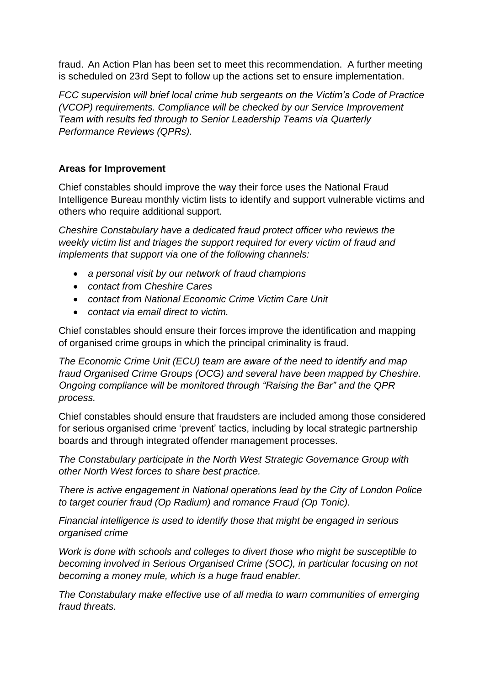fraud. An Action Plan has been set to meet this recommendation. A further meeting is scheduled on 23rd Sept to follow up the actions set to ensure implementation.

*FCC supervision will brief local crime hub sergeants on the Victim's Code of Practice (VCOP) requirements. Compliance will be checked by our Service Improvement Team with results fed through to Senior Leadership Teams via Quarterly Performance Reviews (QPRs).*

## **Areas for Improvement**

Chief constables should improve the way their force uses the National Fraud Intelligence Bureau monthly victim lists to identify and support vulnerable victims and others who require additional support.

*Cheshire Constabulary have a dedicated fraud protect officer who reviews the weekly victim list and triages the support required for every victim of fraud and implements that support via one of the following channels:* 

- *a personal visit by our network of fraud champions*
- *contact from Cheshire Cares*
- *contact from National Economic Crime Victim Care Unit*
- *contact via email direct to victim.*

Chief constables should ensure their forces improve the identification and mapping of organised crime groups in which the principal criminality is fraud.

*The Economic Crime Unit (ECU) team are aware of the need to identify and map fraud Organised Crime Groups (OCG) and several have been mapped by Cheshire. Ongoing compliance will be monitored through "Raising the Bar" and the QPR process.*

Chief constables should ensure that fraudsters are included among those considered for serious organised crime 'prevent' tactics, including by local strategic partnership boards and through integrated offender management processes.

*The Constabulary participate in the North West Strategic Governance Group with other North West forces to share best practice.* 

*There is active engagement in National operations lead by the City of London Police to target courier fraud (Op Radium) and romance Fraud (Op Tonic).*

*Financial intelligence is used to identify those that might be engaged in serious organised crime*

*Work is done with schools and colleges to divert those who might be susceptible to becoming involved in Serious Organised Crime (SOC), in particular focusing on not becoming a money mule, which is a huge fraud enabler.*

*The Constabulary make effective use of all media to warn communities of emerging fraud threats.*